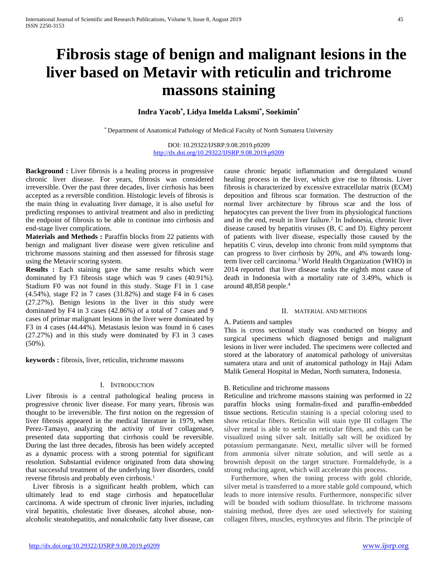# **Fibrosis stage of benign and malignant lesions in the liver based on Metavir with reticulin and trichrome massons staining**

## **Indra Yacob\* , Lidya Imelda Laksmi\* , Soekimin\***

\* Department of Anatomical Pathology of Medical Faculty of North Sumatera University

DOI: 10.29322/IJSRP.9.08.2019.p9209 <http://dx.doi.org/10.29322/IJSRP.9.08.2019.p9209>

**Background :** Liver fibrosis is a healing process in progressive chronic liver disease. For years, fibrosis was considered irreversible. Over the past three decades, liver cirrhosis has been accepted as a reversible condition. Histologic levels of fibrosis is the main thing in evaluating liver damage, it is also useful for predicting responses to antiviral treatment and also in predicting the endpoint of fibrosis to be able to continue into cirrhosis and end-stage liver complications.

**Materials and Methods :** Paraffin blocks from 22 patients with benign and malignant liver disease were given reticuline and trichrome massons staining and then assessed for fibrosis stage using the Metavir scoring system.

**Results :** Each staining gave the same results which were dominated by F3 fibrosis stage which was 9 cases (40.91%). Stadium F0 was not found in this study. Stage F1 in 1 case (4.54%), stage F2 in 7 cases (31.82%) and stage F4 in 6 cases (27.27%). Benign lesions in the liver in this study were dominated by F4 in 3 cases (42.86%) of a total of 7 cases and 9 cases of primar malignant lesions in the liver were dominated by F3 in 4 cases (44.44%). Metastasis lesion was found in 6 cases (27.27%) and in this study were dominated by F3 in 3 cases  $(50\%)$ .

**keywords :** fibrosis, liver, reticulin, trichrome massons

## I. INTRODUCTION

Liver fibrosis is a central pathological healing process in progressive chronic liver disease. For many years, fibrosis was thought to be irreversible. The first notion on the regression of liver fibrosis appeared in the medical literature in 1979, when Perez-Tamayo, analyzing the activity of liver collagenase, presented data supporting that cirrhosis could be reversible. During the last three decades, fibrosis has been widely accepted as a dynamic process with a strong potential for significant resolution. Substantial evidence originated from data showing that successful treatment of the underlying liver disorders, could reverse fibrosis and probably even cirrhosis. 1

 Liver fibrosis is a significant health problem, which can ultimately lead to end stage cirrhosis and hepatocellular carcinoma. A wide spectrum of chronic liver injuries, including viral hepatitis, cholestatic liver diseases, alcohol abuse, nonalcoholic steatohepatitis, and nonalcoholic fatty liver disease, can cause chronic hepatic inflammation and deregulated wound healing process in the liver, which give rise to fibrosis. Liver fibrosis is characterized by excessive extracellular matrix (ECM) deposition and fibrous scar formation. The destruction of the normal liver architecture by fibrous scar and the loss of hepatocytes can prevent the liver from its physiological functions and in the end, result in liver failure.<sup>2</sup> In Indonesia, chronic liver disease caused by hepatitis viruses (B, C and D). Eighty percent of patients with liver disease, especially those caused by the hepatitis C virus, develop into chronic from mild symptoms that can progress to liver cirrhosis by 20%, and 4% towards longterm liver cell carcinoma.3 World Health Organization (WHO) in 2014 reported that liver disease ranks the eighth most cause of death in Indonesia with a mortality rate of 3.49%, which is around 48,858 people.4

## II. MATERIAL AND METHODS

## A. Patients and samples

This is cross sectional study was conducted on biopsy and surgical specimens which diagnosed benign and malignant lesions in liver were included. The specimens were collected and stored at the laboratory of anatomical pathology of universitas sumatera utara and unit of anatomical pathology in Haji Adam Malik General Hospital in Medan, North sumatera, Indonesia.

## B. Reticuline and trichrome massons

Reticuline and trichrome massons staining was performed in 22 paraffin blocks using formalin-fixed and paraffin-embedded tissue sections. Reticulin staining is a special coloring used to show reticular fibers. Reticulin will stain type III collagen The silver metal is able to settle on reticular fibers, and this can be visualized using silver salt. Initially salt will be oxidized by potassium permanganate. Next, metallic silver will be formed from ammonia silver nitrate solution, and will settle as a brownish deposit on the target structure. Formaldehyde, is a strong reducing agent, which will accelerate this process.

 Furthermore, when the toning process with gold chloride, silver metal is transferred to a more stable gold compound, which leads to more intensive results. Furthermore, nonspecific silver will be bonded with sodium thiosulfate. In trichrome massons staining method, three dyes are used selectively for staining collagen fibres, muscles, erythrocytes and fibrin. The principle of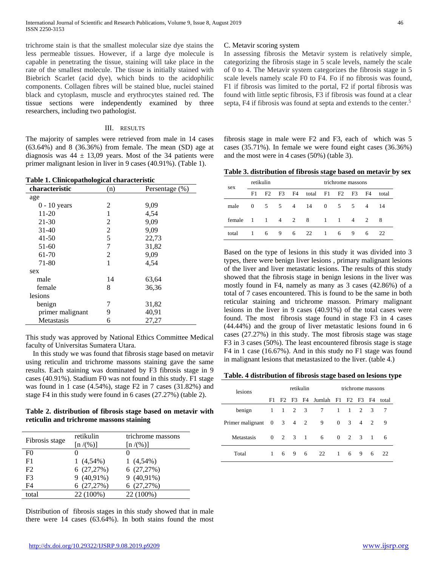trichrome stain is that the smallest molecular size dye stains the less permeable tissues. However, if a large dye molecule is capable in penetrating the tissue, staining will take place in the rate of the smallest molecule. The tissue is initially stained with Biebrich Scarlet (acid dye), which binds to the acidophilic components. Collagen fibres will be stained blue, nuclei stained black and cytoplasm, muscle and erythrocytes stained red. The tissue sections were independently examined by three researchers, including two pathologist.

## III. RESULTS

The majority of samples were retrieved from male in 14 cases (63.64%) and 8 (36.36%) from female. The mean (SD) age at diagnosis was  $44 \pm 13,09$  years. Most of the 34 patients were primer malignant lesion in liver in 9 cases (40.91%). (Table 1).

**Table 1. Clinicopathological characteristic**

| characteristic   | (n) | Persentage (%) |  |  |  |  |
|------------------|-----|----------------|--|--|--|--|
| age              |     |                |  |  |  |  |
| $0 - 10$ years   | 2   | 9.09           |  |  |  |  |
| 11-20            | 1   | 4,54           |  |  |  |  |
| 21-30            | 2   | 9,09           |  |  |  |  |
| $31 - 40$        | 2   | 9,09           |  |  |  |  |
| $41 - 50$        | 5   | 22,73          |  |  |  |  |
| $51-60$          | 7   | 31,82          |  |  |  |  |
| 61-70            | 2   | 9.09           |  |  |  |  |
| 71-80            | 1   | 4.54           |  |  |  |  |
| sex              |     |                |  |  |  |  |
| male             | 14  | 63,64          |  |  |  |  |
| female           | 8   | 36,36          |  |  |  |  |
| lesions          |     |                |  |  |  |  |
| benign           | 7   | 31,82          |  |  |  |  |
| primer malignant | 9   | 40,91          |  |  |  |  |
| Metastasis       | 6   | 27,27          |  |  |  |  |

This study was approved by National Ethics Committee Medical faculty of Universitas Sumatera Utara.

 In this study we was found that fibrosis stage based on metavir using reticulin and trichrome massons staining gave the same results. Each staining was dominated by F3 fibrosis stage in 9 cases (40.91%). Stadium F0 was not found in this study. F1 stage was found in 1 case (4.54%), stage F2 in 7 cases (31.82%) and stage F4 in this study were found in 6 cases (27.27%) (table 2).

**Table 2. distribution of fibrosis stage based on metavir with reticulin and trichrome massons staining** 

| Fibrosis stage | retikulin<br>[n/(%)] | trichrome massons<br>[n/(%)] |
|----------------|----------------------|------------------------------|
| F0             | 0                    |                              |
| F1             | $1(4,54\%)$          | $1(4,54\%)$                  |
| F2             | 6(27,27%)            | 6(27,27%)                    |
| F <sub>3</sub> | 9 (40,91%)           | 9 (40,91%)                   |
| F4             | 6(27,27%)            | 6(27,27%)                    |
| total          | 22 (100%)            | 22 (100%)                    |

Distribution of fibrosis stages in this study showed that in male there were 14 cases (63.64%). In both stains found the most

## C. Metavir scoring system

In assessing fibrosis the Metavir system is relatively simple, categorizing the fibrosis stage in 5 scale levels, namely the scale of 0 to 4. The Metavir system categorizes the fibrosis stage in 5 scale levels namely scale F0 to F4. Fo if no fibrosis was found, F1 if fibrosis was limited to the portal, F2 if portal fibrosis was found with little septic fibrosis, F3 if fibrosis was found at a clear septa, F4 if fibrosis was found at septa and extends to the center.<sup>5</sup>

fibrosis stage in male were F2 and F3, each of which was 5 cases (35.71%). In female we were found eight cases (36.36%) and the most were in 4 cases (50%) (table 3).

**Table 3. distribution of fibrosis stage based on metavir by sex**

| sex      | retikulin      |                |                |   |                            | trichrome massons                      |                |                |                |       |
|----------|----------------|----------------|----------------|---|----------------------------|----------------------------------------|----------------|----------------|----------------|-------|
|          | F1             |                |                |   | F2 F3 F4 total F1 F2 F3 F4 |                                        |                |                |                | total |
| male     | $\overline{0}$ | 5 <sup>5</sup> |                |   | 5 4 14                     | $\overline{0}$                         | 5 <sup>5</sup> | -5             | $\overline{4}$ | 14    |
| female 1 |                | $\mathbf{1}$   | $\overline{4}$ | 2 | 8                          | $\begin{array}{ccc} & 1 & \end{array}$ | $\sim$ 1       | $\overline{4}$ | 2              | -8    |
| total    | -1             | 6              | 9              | 6 | 22                         | $\mathbf{1}$                           | 6              | 9              | 6              | 22    |

Based on the type of lesions in this study it was divided into 3 types, there were benign liver lesions , primary malignant lesions of the liver and liver metastatic lesions. The results of this study showed that the fibrosis stage in benign lesions in the liver was mostly found in F4, namely as many as 3 cases (42.86%) of a total of 7 cases encountered. This is found to be the same in both reticular staining and trichrome masson. Primary malignant lesions in the liver in 9 cases (40.91%) of the total cases were found. The most fibrosis stage found in stage F3 in 4 cases (44.44%) and the group of liver metastatic lesions found in 6 cases (27.27%) in this study. The most fibrosis stage was stage F3 in 3 cases (50%). The least encountered fibrosis stage is stage F4 in 1 case (16.67%). And in this study no F1 stage was found in malignant lesions that metastasized to the liver. (table 4.)

## **Table. 4 distribution of fibrosis stage based on lesions type**

| lesions                                      | retikulin    |       |     |               |                             | trichrome massons |                         |     |                |       |
|----------------------------------------------|--------------|-------|-----|---------------|-----------------------------|-------------------|-------------------------|-----|----------------|-------|
|                                              | F1           |       |     |               | F2 F3 F4 Jumlah F1 F2 F3 F4 |                   |                         |     |                | total |
| benign                                       | 1            | 1 2 3 |     |               | 7                           | -1                | $\overline{1}$          | 2 3 |                | -7    |
| Primer malignant $0 \quad 3 \quad 4 \quad 2$ |              |       |     |               | 9                           | $\overline{0}$    | $\overline{\mathbf{3}}$ | 4   | 2              | 9     |
| Metastasis                                   | $\Omega$     |       |     | $2 \t 3 \t 1$ | 6                           |                   | $0 \quad 2 \quad 3$     |     | $\blacksquare$ | 6     |
| Total                                        | $\mathbf{1}$ |       | 6 9 | -6            | 22                          | -1                | 6                       | 9   | 6              | 22    |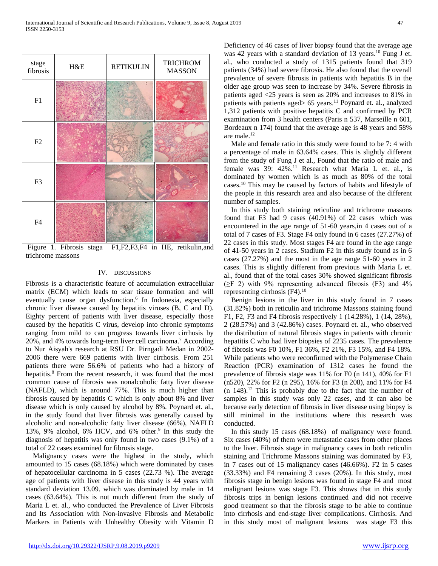

Figure 1. Fibrosis staga F1,F2,F3,F4 in HE, retikulin,and trichrome massons

## IV. DISCUSSIONS

Fibrosis is a characteristic feature of accumulation extracellular matrix (ECM) which leads to scar tissue formation and will eventually cause organ dysfunction.<sup>6</sup> In Indonesia, especially chronic liver disease caused by hepatitis viruses (B, C and D). Eighty percent of patients with liver disease, especially those caused by the hepatitis C virus, develop into chronic symptoms ranging from mild to can progress towards liver cirrhosis by 20%, and 4% towards long-term liver cell carcinoma.7 According to Nur Aisyah's research at RSU Dr. Pirngadi Medan in 2002- 2006 there were 669 patients with liver cirrhosis. From 251 patients there were 56.6% of patients who had a history of hepatitis. <sup>8</sup> From the recent research, it was found that the most common cause of fibrosis was nonalcoholic fatty liver disease (NAFLD), which is around 77%. This is much higher than fibrosis caused by hepatitis C which is only about 8% and liver disease which is only caused by alcohol by 8%. Poynard et. al., in the study found that liver fibrosis was generally caused by alcoholic and non-alcoholic fatty liver disease (66%), NAFLD 13%, 9% alcohol, 6% HCV, and 6% other.<sup>9</sup> In this study the diagnosis of hepatitis was only found in two cases (9.1%) of a total of 22 cases examined for fibrosis stage.

 Malignancy cases were the highest in the study, which amounted to 15 cases (68.18%) which were dominated by cases of hepatocellular carcinoma in 5 cases (22.73 %). The average age of patients with liver disease in this study is 44 years with standard deviation 13.09. which was dominated by male in 14 cases (63.64%). This is not much different from the study of Maria L et. al., who conducted the Prevalence of Liver Fibrosis and Its Association with Non-invasive Fibrosis and Metabolic Markers in Patients with Unhealthy Obesity with Vitamin D Deficiency of 46 cases of liver biopsy found that the average age was 42 years with a standard deviation of 13 years.<sup>10</sup> Fung J et. al., who conducted a study of 1315 patients found that 319 patients (34%) had severe fibrosis. He also found that the overall prevalence of severe fibrosis in patients with hepatitis B in the older age group was seen to increase by 34%. Severe fibrosis in patients aged <25 years is seen as 20% and increases to 81% in patients with patients aged $> 65$  years.<sup>11</sup> Poynard et. al., analyzed 1,312 patients with positive hepatitis C and confirmed by PCR examination from 3 health centers (Paris n 537, Marseille n 601, Bordeaux n 174) found that the average age is 48 years and 58% are male. 12

 Male and female ratio in this study were found to be 7: 4 with a percentage of male in 63.64% cases. This is slightly different from the study of Fung J et al., Found that the ratio of male and female was 39: 42%.<sup>11</sup> Research what Maria L et. al., is dominated by women which is as much as 80% of the total cases.10 This may be caused by factors of habits and lifestyle of the people in this research area and also because of the different number of samples.

 In this study both staining reticuline and trichrome massons found that F3 had 9 cases (40.91%) of 22 cases which was encountered in the age range of 51-60 years,in 4 cases out of a total of 7 cases of F3. Stage F4 only found in 6 cases (27.27%) of 22 cases in this study. Most stages F4 are found in the age range of 41-50 years in 2 cases. Stadium F2 in this study found as in 6 cases (27.27%) and the most in the age range 51-60 years in 2 cases. This is slightly different from previous with Maria L et. al., found that of the total cases 30% showed significant fibrosis  $(\geq$ F 2) with 9% representing advanced fibrosis (F3) and 4% representing cirrhosis  $(F4)$ .<sup>10</sup>

 Benign lesions in the liver in this study found in 7 cases (31.82%) both in reticulin and trichrome Massons staining found F1, F2, F3 and F4 fibrosis respectively 1 (14.28%), 1 (14, 28%), 2 (28.57%) and 3 (42.86%) cases. Poynard et. al., who observed the distribution of natural fibrosis stages in patients with chronic hepatitis C who had liver biopsies of 2235 cases. The prevalence of fibrosis was F0 10%, F1 36%, F2 21%, F3 15%, and F4 18%. While patients who were reconfirmed with the Polymerase Chain Reaction (PCR) examination of 1312 cases he found the prevalence of fibrosis stage was 11% for F0 (n 141), 40% for F1 (n520), 22% for F2 (n 295), 16% for F3 (n 208), and 11% for F4  $(n \t148).$ <sup>12</sup> This is probably due to the fact that the number of samples in this study was only 22 cases, and it can also be because early detection of fibrosis in liver disease using biopsy is still minimal in the institutions where this research was conducted.

 In this study 15 cases (68.18%) of malignancy were found. Six cases (40%) of them were metastatic cases from other places to the liver. Fibrosis stage in malignancy cases in both reticulin staining and Trichrome Massons staining was dominated by F3, in 7 cases out of 15 malignancy cases (46.66%). F2 in 5 cases (33.33%) and F4 remaining 3 cases (20%). In this study, most fibrosis stage in benign lesions was found in stage F4 and most malignant lesions was stage F3. This shows that in this study fibrosis trips in benign lesions continued and did not receive good treatment so that the fibrosis stage to be able to continue into cirrhosis and end-stage liver complications. Cirrhosis. And in this study most of malignant lesions was stage F3 this